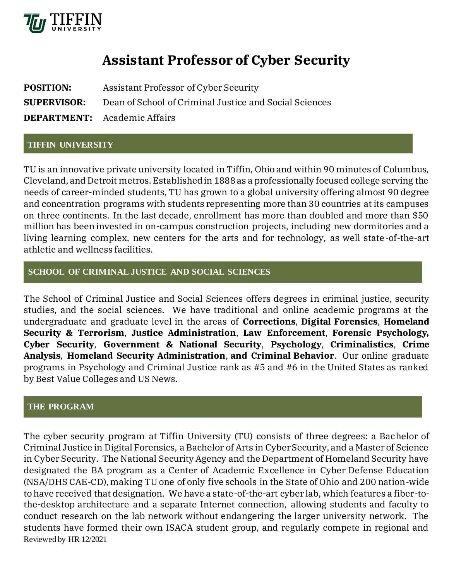

# **Assistant Professor of Cyber Security**

| <b>POSITION:</b>   | Assistant Professor of Cyber Security                  |
|--------------------|--------------------------------------------------------|
| <b>SUPERVISOR:</b> | Dean of School of Criminal Justice and Social Sciences |
|                    | <b>DEPARTMENT:</b> Academic Affairs                    |

### **TIFFIN UNIVERSITY**

TU is an innovative private university located in Tiffin, Ohio and within 90 minutes of Columbus, Cleveland, and Detroit metros. Established in 1888 as a professionally focused college serving the needs of career-minded students, TU has grown to a global university offering almost 90 degree and concentration programs with students representing more than 30 countries at its campuses on three continents. In the last decade, enrollment has more than doubled and more than \$50 million has been invested in on-campus construction projects, including new dormitories and a living learning complex, new centers for the arts and for technology, as well state-of-the-art athletic and wellness facilities.

# **SCHOOL OF CRIMINAL JUSTICE AND SOCIAL SCIENCES**

The School of Criminal Justice and Social Sciences offers degrees in criminal justice, security studies, and the social sciences. We have traditional and online academic programs at the undergraduate and graduate level in the areas of **Corrections**, **Digital Forensics**, **Homeland Security & Terrorism**, **Justice Administration**, **Law Enforcement**, **Forensic Psychology, Cyber Security**, **Government & National Security**, **Psychology**, **Criminalistics**, **Crime Analysis**, **[Homeland Security Administration](http://www.tiffin.edu/graduateprograms/mscj/homelandsec/)**, **and Criminal Behavior**. Our online graduate programs in Psychology and Criminal Justice rank as #5 and #6 in the United States as ranked by Best Value Colleges and US News.

#### **THE PROGRAM**

Reviewed by HR 12/2021 The cyber security program at Tiffin University (TU) consists of three degrees: a Bachelor of Criminal Justice in Digital Forensics, a Bachelor of Arts in Cyber Security, and a Master of Science in Cyber Security. The National Security Agency and the Department of Homeland Security have designated the BA program as a Center of Academic Excellence in Cyber Defense Education (NSA/DHS CAE-CD), making TU one of only five schools in the State of Ohio and 200 nation-wide to have received that designation. We have a state-of-the-art cyber lab, which features a fiber-tothe-desktop architecture and a separate Internet connection, allowing students and faculty to conduct research on the lab network without endangering the larger university network. The students have formed their own ISACA student group, and regularly compete in regional and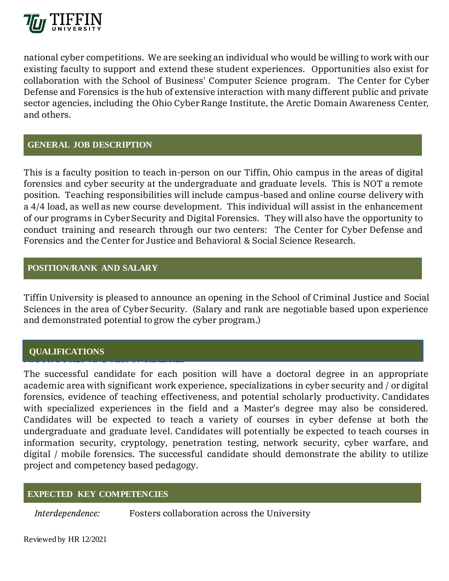

national cyber competitions. We are seeking an individual who would be willing to work with our existing faculty to support and extend these student experiences. Opportunities also exist for collaboration with the School of Business' Computer Science program. The Center for Cyber Defense and Forensics is the hub of extensive interaction with many different public and private sector agencies, including the Ohio Cyber Range Institute, the Arctic Domain Awareness Center, and others.

### **GENERAL JOB DESCRIPTION**

This is a faculty position to teach in-person on our Tiffin, Ohio campus in the areas of digital forensics and cyber security at the undergraduate and graduate levels. This is NOT a remote position. Teaching responsibilities will include campus-based and online course delivery with a 4/4 load, as well as new course development. This individual will assist in the enhancement of our programs in Cyber Security and Digital Forensics. They will also have the opportunity to conduct training and research through our two centers: The Center for Cyber Defense and Forensics and the Center for Justice and Behavioral & Social Science Research.

## **POSITION/RANK AND SALARY**

Tiffin University is pleased to announce an opening in the School of Criminal Justice and Social Sciences in the area of Cyber Security. (Salary and rank are negotiable based upon experience and demonstrated potential to grow the cyber program.)

#### MAJOR DUTIES AND RESPONSIBILITIES AND RESPONSIBILITIES. **QUALIFICATIONS**

The successful candidate for each position will have a doctoral degree in an appropriate academic area with significant work experience, specializations in cyber security and / or digital forensics, evidence of teaching effectiveness, and potential scholarly productivity. Candidates with specialized experiences in the field and a Master's degree may also be considered. Candidates will be expected to teach a variety of courses in cyber defense at both the undergraduate and graduate level. Candidates will potentially be expected to teach courses in information security, cryptology, penetration testing, network security, cyber warfare, and digital / mobile forensics. The successful candidate should demonstrate the ability to utilize project and competency based pedagogy.

# **EXPECTED KEY COMPETENCIES**

*Interdependence:* Fosters collaboration across the University